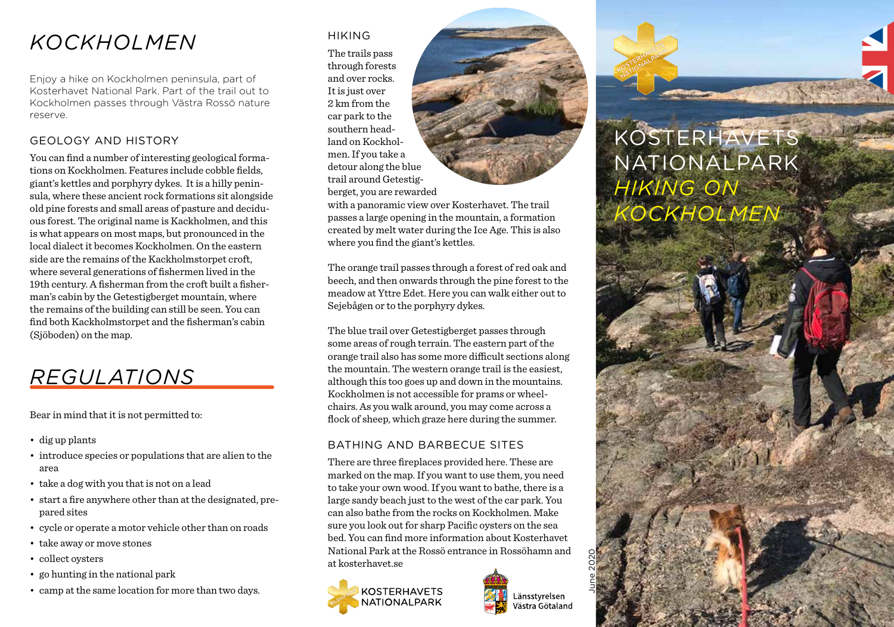### *KOCKHOLMEN*

Enjoy a hike on Kockholmen peninsula, part of Kosterhavet National Park. Part of the trail out to Kockholmen passes through Västra Rossö nature reserve.

#### GEOLOGY AND HISTORY

You can find a number of interesting geological formations on Kockholmen. Features include cobble fields, giant's kettles and porphyry dykes. It is a hilly peninsula, where these ancient rock formations sit alongside old pine forests and small areas of pasture and deciduous forest. The original name is Kackholmen, and this is what appears on most maps, but pronounced in the local dialect it becomes Kockholmen. On the eastern side are the remains of the Kackholmstorpet croft, where several generations of fishermen lived in the 19th century. A fisherman from the croft built a fisherman's cabin by the Getestigberget mountain, where the remains of the building can still be seen. You can find both Kackholmstorpet and the fisherman's cabin (Sjöboden) on the map.

## *REGULATIONS*

Bear in mind that it is not permitted to:

- dig up plants
- introduce species or populations that are alien to the area
- take a dog with you that is not on a lead
- start a fire anywhere other than at the designated, prepared sites
- cycle or operate a motor vehicle other than on roads
- take away or move stones
- collect oysters
- go hunting in the national park
- camp at the same location for more than two days.

#### HIKING

The trails pass through forests and over rocks. It is just over 2 km from the car park to the southern headland on Kockholmen. If you take a detour along the blue trail around Getestigberget, you are rewarded



with a panoramic view over Kosterhavet. The trail passes a large opening in the mountain, a formation created by melt water during the Ice Age. This is also where you find the giant's kettles.

The orange trail passes through a forest of red oak and beech, and then onwards through the pine forest to the meadow at Yttre Edet. Here you can walk either out to Sejebågen or to the porphyry dykes.

The blue trail over Getestigberget passes through some areas of rough terrain. The eastern part of the orange trail also has some more difficult sections along the mountain. The western orange trail is the easiest, although this too goes up and down in the mountains. Kockholmen is not accessible for prams or wheelchairs. As you walk around, you may come across a flock of sheep, which graze here during the summer.

#### BATHING AND BARBECUE SITES

There are three fireplaces provided here. These are marked on the map. If you want to use them, you need to take your own wood. If you want to bathe, there is a large sandy beach just to the west of the car park. You can also bathe from the rocks on Kockholmen. Make sure you look out for sharp Pacific oysters on the sea bed. You can find more information about Kosterhavet National Park at the Rossö entrance in Rossöhamn and at kosterhavet.se



Länsstvrelsen västra Götaland June 2020

# KOSTERHAVETS NATIONALPARK *HIKING ON KOCKHOLMEN*